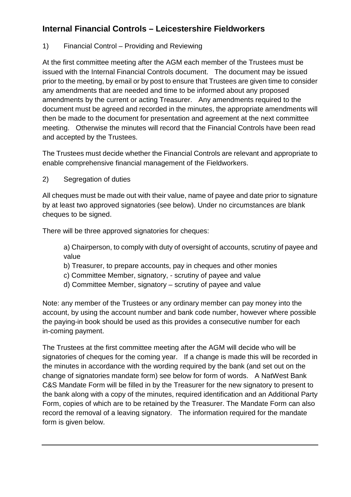# **Internal Financial Controls – Leicestershire Fieldworkers**

# 1) Financial Control – Providing and Reviewing

At the first committee meeting after the AGM each member of the Trustees must be issued with the Internal Financial Controls document. The document may be issued prior to the meeting, by email or by post to ensure that Trustees are given time to consider any amendments that are needed and time to be informed about any proposed amendments by the current or acting Treasurer. Any amendments required to the document must be agreed and recorded in the minutes, the appropriate amendments will then be made to the document for presentation and agreement at the next committee meeting. Otherwise the minutes will record that the Financial Controls have been read and accepted by the Trustees.

The Trustees must decide whether the Financial Controls are relevant and appropriate to enable comprehensive financial management of the Fieldworkers.

2) Segregation of duties

All cheques must be made out with their value, name of payee and date prior to signature by at least two approved signatories (see below). Under no circumstances are blank cheques to be signed.

There will be three approved signatories for cheques:

a) Chairperson, to comply with duty of oversight of accounts, scrutiny of payee and value

- b) Treasurer, to prepare accounts, pay in cheques and other monies
- c) Committee Member, signatory, scrutiny of payee and value
- d) Committee Member, signatory scrutiny of payee and value

Note: any member of the Trustees or any ordinary member can pay money into the account, by using the account number and bank code number, however where possible the paying-in book should be used as this provides a consecutive number for each in-coming payment.

The Trustees at the first committee meeting after the AGM will decide who will be signatories of cheques for the coming year. If a change is made this will be recorded in the minutes in accordance with the wording required by the bank (and set out on the change of signatories mandate form) see below for form of words. A NatWest Bank C&S Mandate Form will be filled in by the Treasurer for the new signatory to present to the bank along with a copy of the minutes, required identification and an Additional Party Form, copies of which are to be retained by the Treasurer. The Mandate Form can also record the removal of a leaving signatory. The information required for the mandate form is given below.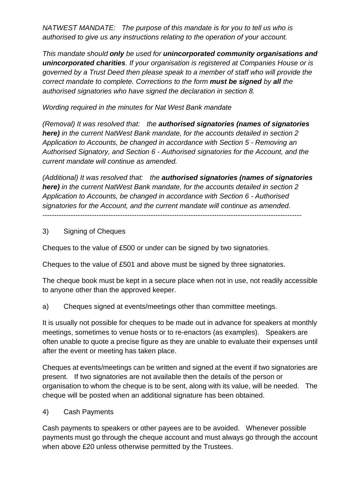*NATWEST MANDATE: The purpose of this mandate is for you to tell us who is authorised to give us any instructions relating to the operation of your account.*

*This mandate should only be used for unincorporated community organisations and unincorporated charities. If your organisation is registered at Companies House or is governed by a Trust Deed then please speak to a member of staff who will provide the correct mandate to complete. Corrections to the form must be signed by all the authorised signatories who have signed the declaration in section 8.*

*Wording required in the minutes for Nat West Bank mandate*

*(Removal) It was resolved that: the authorised signatories (names of signatories here) in the current NatWest Bank mandate, for the accounts detailed in section 2 Application to Accounts, be changed in accordance with Section 5 - Removing an Authorised Signatory, and Section 6 - Authorised signatories for the Account, and the current mandate will continue as amended.* 

*(Additional) It was resolved that: the authorised signatories (names of signatories here) in the current NatWest Bank mandate, for the accounts detailed in section 2 Application to Accounts, be changed in accordance with Section 6 - Authorised signatories for the Account, and the current mandate will continue as amended.* 

--------------------------------------------------------------------------------------------------------------

#### 3) Signing of Cheques

Cheques to the value of £500 or under can be signed by two signatories.

Cheques to the value of £501 and above must be signed by three signatories.

The cheque book must be kept in a secure place when not in use, not readily accessible to anyone other than the approved keeper.

a) Cheques signed at events/meetings other than committee meetings.

It is usually not possible for cheques to be made out in advance for speakers at monthly meetings, sometimes to venue hosts or to re-enactors (as examples). Speakers are often unable to quote a precise figure as they are unable to evaluate their expenses until after the event or meeting has taken place.

Cheques at events/meetings can be written and signed at the event if two signatories are present. If two signatories are not available then the details of the person or organisation to whom the cheque is to be sent, along with its value, will be needed. The cheque will be posted when an additional signature has been obtained.

4) Cash Payments

Cash payments to speakers or other payees are to be avoided. Whenever possible payments must go through the cheque account and must always go through the account when above £20 unless otherwise permitted by the Trustees.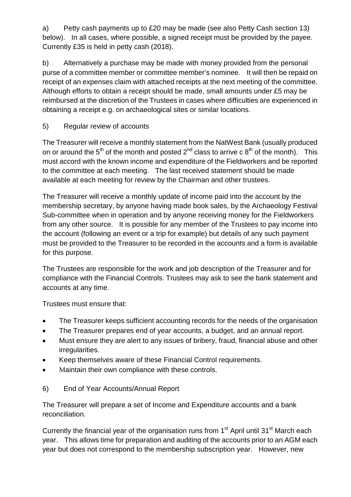a) Petty cash payments up to £20 may be made (see also Petty Cash section 13) below). In all cases, where possible, a signed receipt must be provided by the payee. Currently £35 is held in petty cash (2018).

b) Alternatively a purchase may be made with money provided from the personal purse of a committee member or committee member's nominee. It will then be repaid on receipt of an expenses claim with attached receipts at the next meeting of the committee. Although efforts to obtain a receipt should be made, small amounts under £5 may be reimbursed at the discretion of the Trustees in cases where difficulties are experienced in obtaining a receipt e.g. on archaeological sites or similar locations.

### 5) Regular review of accounts

The Treasurer will receive a monthly statement from the NatWest Bank (usually produced on or around the 5<sup>th</sup> of the month and posted 2<sup>nd</sup> class to arrive c 8<sup>th</sup> of the month). This must accord with the known income and expenditure of the Fieldworkers and be reported to the committee at each meeting. The last received statement should be made available at each meeting for review by the Chairman and other trustees.

The Treasurer will receive a monthly update of income paid into the account by the membership secretary, by anyone having made book sales, by the Archaeology Festival Sub-committee when in operation and by anyone receiving money for the Fieldworkers from any other source. It is possible for any member of the Trustees to pay income into the account (following an event or a trip for example) but details of any such payment must be provided to the Treasurer to be recorded in the accounts and a form is available for this purpose.

The Trustees are responsible for the work and job description of the Treasurer and for compliance with the Financial Controls. Trustees may ask to see the bank statement and accounts at any time.

Trustees must ensure that:

- The Treasurer keeps sufficient accounting records for the needs of the organisation
- The Treasurer prepares end of year accounts, a budget, and an annual report.
- Must ensure they are alert to any issues of bribery, fraud, financial abuse and other irregularities.
- Keep themselves aware of these Financial Control requirements.
- Maintain their own compliance with these controls.

# 6) End of Year Accounts/Annual Report

The Treasurer will prepare a set of Income and Expenditure accounts and a bank reconciliation.

Currently the financial year of the organisation runs from  $1<sup>st</sup>$  April until 31 $<sup>st</sup>$  March each</sup> year. This allows time for preparation and auditing of the accounts prior to an AGM each year but does not correspond to the membership subscription year. However, new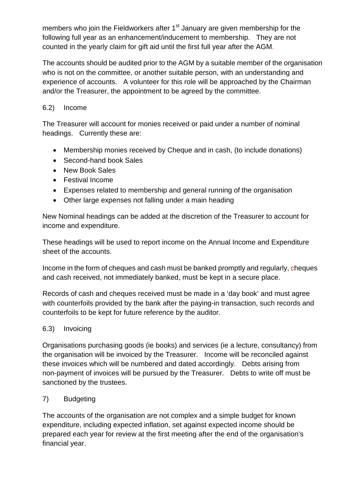members who join the Fieldworkers after 1<sup>st</sup> January are given membership for the following full year as an enhancement/inducement to membership. They are not counted in the yearly claim for gift aid until the first full year after the AGM.

The accounts should be audited prior to the AGM by a suitable member of the organisation who is not on the committee, or another suitable person, with an understanding and experience of accounts. A volunteer for this role will be approached by the Chairman and/or the Treasurer, the appointment to be agreed by the committee.

#### 6.2) Income

The Treasurer will account for monies received or paid under a number of nominal headings. Currently these are:

- Membership monies received by Cheque and in cash, (to include donations)
- Second-hand book Sales
- New Book Sales
- Festival Income
- Expenses related to membership and general running of the organisation
- Other large expenses not falling under a main heading

New Nominal headings can be added at the discretion of the Treasurer to account for income and expenditure.

These headings will be used to report income on the Annual Income and Expenditure sheet of the accounts.

Income in the form of cheques and cash must be banked promptly and regularly, cheques and cash received, not immediately banked, must be kept in a secure place.

Records of cash and cheques received must be made in a 'day book' and must agree with counterfoils provided by the bank after the paying-in transaction, such records and counterfoils to be kept for future reference by the auditor.

# 6.3) Invoicing

Organisations purchasing goods (ie books) and services (ie a lecture, consultancy) from the organisation will be invoiced by the Treasurer. Income will be reconciled against these invoices which will be numbered and dated accordingly. Debts arising from non-payment of invoices will be pursued by the Treasurer. Debts to write off must be sanctioned by the trustees.

# 7) Budgeting

The accounts of the organisation are not complex and a simple budget for known expenditure, including expected inflation, set against expected income should be prepared each year for review at the first meeting after the end of the organisation's financial year.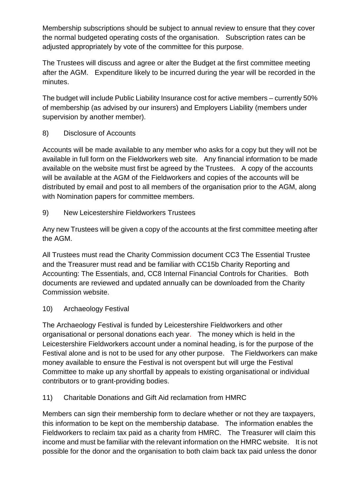Membership subscriptions should be subject to annual review to ensure that they cover the normal budgeted operating costs of the organisation. Subscription rates can be adjusted appropriately by vote of the committee for this purpose.

The Trustees will discuss and agree or alter the Budget at the first committee meeting after the AGM. Expenditure likely to be incurred during the year will be recorded in the minutes.

The budget will include Public Liability Insurance cost for active members – currently 50% of membership (as advised by our insurers) and Employers Liability (members under supervision by another member).

8) Disclosure of Accounts

Accounts will be made available to any member who asks for a copy but they will not be available in full form on the Fieldworkers web site. Any financial information to be made available on the website must first be agreed by the Trustees. A copy of the accounts will be available at the AGM of the Fieldworkers and copies of the accounts will be distributed by email and post to all members of the organisation prior to the AGM, along with Nomination papers for committee members.

9) New Leicestershire Fieldworkers Trustees

Any new Trustees will be given a copy of the accounts at the first committee meeting after the AGM.

All Trustees must read the Charity Commission document CC3 The Essential Trustee and the Treasurer must read and be familiar with CC15b Charity Reporting and Accounting: The Essentials, and, CC8 Internal Financial Controls for Charities. Both documents are reviewed and updated annually can be downloaded from the Charity Commission website.

#### 10) Archaeology Festival

The Archaeology Festival is funded by Leicestershire Fieldworkers and other organisational or personal donations each year. The money which is held in the Leicestershire Fieldworkers account under a nominal heading, is for the purpose of the Festival alone and is not to be used for any other purpose. The Fieldworkers can make money available to ensure the Festival is not overspent but will urge the Festival Committee to make up any shortfall by appeals to existing organisational or individual contributors or to grant-providing bodies.

11) Charitable Donations and Gift Aid reclamation from HMRC

Members can sign their membership form to declare whether or not they are taxpayers, this information to be kept on the membership database. The information enables the Fieldworkers to reclaim tax paid as a charity from HMRC. The Treasurer will claim this income and must be familiar with the relevant information on the HMRC website. It is not possible for the donor and the organisation to both claim back tax paid unless the donor